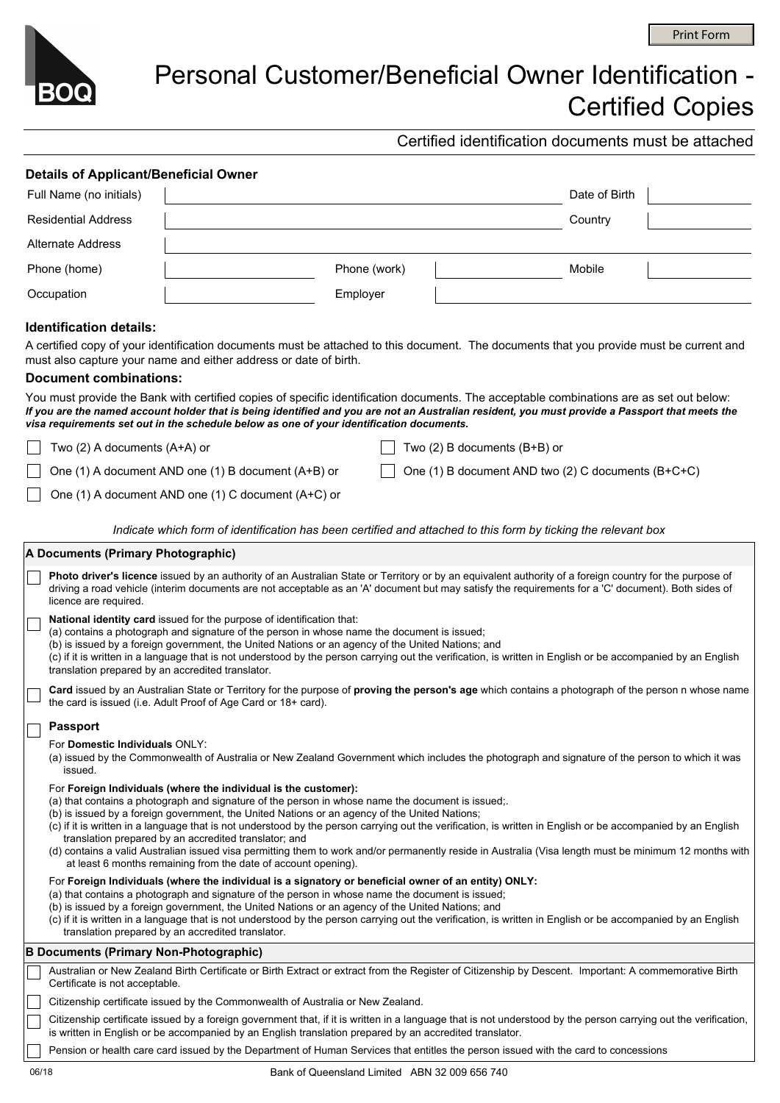

## Personal Customer/Beneficial Owner Identification - Certified Copies

Certified identification documents must be attached

|                                | <b>Details of Applicant/Beneficial Owner</b>                                                                                                                                                                                                                                                                                                                                                                                                                                                                                                                                                                                                                                                                              |                                                                                                                                                                                                                                                                                                                                                                                                                                                                               |  |                                  |                                                    |  |  |  |  |  |
|--------------------------------|---------------------------------------------------------------------------------------------------------------------------------------------------------------------------------------------------------------------------------------------------------------------------------------------------------------------------------------------------------------------------------------------------------------------------------------------------------------------------------------------------------------------------------------------------------------------------------------------------------------------------------------------------------------------------------------------------------------------------|-------------------------------------------------------------------------------------------------------------------------------------------------------------------------------------------------------------------------------------------------------------------------------------------------------------------------------------------------------------------------------------------------------------------------------------------------------------------------------|--|----------------------------------|----------------------------------------------------|--|--|--|--|--|
| Full Name (no initials)        |                                                                                                                                                                                                                                                                                                                                                                                                                                                                                                                                                                                                                                                                                                                           |                                                                                                                                                                                                                                                                                                                                                                                                                                                                               |  |                                  | Date of Birth                                      |  |  |  |  |  |
| <b>Residential Address</b>     |                                                                                                                                                                                                                                                                                                                                                                                                                                                                                                                                                                                                                                                                                                                           |                                                                                                                                                                                                                                                                                                                                                                                                                                                                               |  |                                  | Country                                            |  |  |  |  |  |
| <b>Alternate Address</b>       |                                                                                                                                                                                                                                                                                                                                                                                                                                                                                                                                                                                                                                                                                                                           |                                                                                                                                                                                                                                                                                                                                                                                                                                                                               |  |                                  |                                                    |  |  |  |  |  |
| Phone (home)                   |                                                                                                                                                                                                                                                                                                                                                                                                                                                                                                                                                                                                                                                                                                                           | Phone (work)                                                                                                                                                                                                                                                                                                                                                                                                                                                                  |  |                                  | Mobile                                             |  |  |  |  |  |
| Occupation                     |                                                                                                                                                                                                                                                                                                                                                                                                                                                                                                                                                                                                                                                                                                                           | Employer                                                                                                                                                                                                                                                                                                                                                                                                                                                                      |  |                                  |                                                    |  |  |  |  |  |
| <b>Identification details:</b> |                                                                                                                                                                                                                                                                                                                                                                                                                                                                                                                                                                                                                                                                                                                           |                                                                                                                                                                                                                                                                                                                                                                                                                                                                               |  |                                  |                                                    |  |  |  |  |  |
|                                | A certified copy of your identification documents must be attached to this document. The documents that you provide must be current and                                                                                                                                                                                                                                                                                                                                                                                                                                                                                                                                                                                   |                                                                                                                                                                                                                                                                                                                                                                                                                                                                               |  |                                  |                                                    |  |  |  |  |  |
|                                | must also capture your name and either address or date of birth.                                                                                                                                                                                                                                                                                                                                                                                                                                                                                                                                                                                                                                                          |                                                                                                                                                                                                                                                                                                                                                                                                                                                                               |  |                                  |                                                    |  |  |  |  |  |
| <b>Document combinations:</b>  |                                                                                                                                                                                                                                                                                                                                                                                                                                                                                                                                                                                                                                                                                                                           |                                                                                                                                                                                                                                                                                                                                                                                                                                                                               |  |                                  |                                                    |  |  |  |  |  |
|                                | You must provide the Bank with certified copies of specific identification documents. The acceptable combinations are as set out below:<br>If you are the named account holder that is being identified and you are not an Australian resident, you must provide a Passport that meets the<br>visa requirements set out in the schedule below as one of your identification documents.                                                                                                                                                                                                                                                                                                                                    |                                                                                                                                                                                                                                                                                                                                                                                                                                                                               |  |                                  |                                                    |  |  |  |  |  |
|                                | Two (2) A documents (A+A) or                                                                                                                                                                                                                                                                                                                                                                                                                                                                                                                                                                                                                                                                                              |                                                                                                                                                                                                                                                                                                                                                                                                                                                                               |  | Two $(2)$ B documents $(B+B)$ or |                                                    |  |  |  |  |  |
|                                | One (1) A document AND one (1) B document (A+B) or                                                                                                                                                                                                                                                                                                                                                                                                                                                                                                                                                                                                                                                                        |                                                                                                                                                                                                                                                                                                                                                                                                                                                                               |  |                                  | One (1) B document AND two (2) C documents (B+C+C) |  |  |  |  |  |
|                                | One (1) A document AND one (1) C document (A+C) or                                                                                                                                                                                                                                                                                                                                                                                                                                                                                                                                                                                                                                                                        |                                                                                                                                                                                                                                                                                                                                                                                                                                                                               |  |                                  |                                                    |  |  |  |  |  |
|                                |                                                                                                                                                                                                                                                                                                                                                                                                                                                                                                                                                                                                                                                                                                                           |                                                                                                                                                                                                                                                                                                                                                                                                                                                                               |  |                                  |                                                    |  |  |  |  |  |
|                                | Indicate which form of identification has been certified and attached to this form by ticking the relevant box                                                                                                                                                                                                                                                                                                                                                                                                                                                                                                                                                                                                            |                                                                                                                                                                                                                                                                                                                                                                                                                                                                               |  |                                  |                                                    |  |  |  |  |  |
|                                | A Documents (Primary Photographic)                                                                                                                                                                                                                                                                                                                                                                                                                                                                                                                                                                                                                                                                                        |                                                                                                                                                                                                                                                                                                                                                                                                                                                                               |  |                                  |                                                    |  |  |  |  |  |
|                                | Photo driver's licence issued by an authority of an Australian State or Territory or by an equivalent authority of a foreign country for the purpose of<br>driving a road vehicle (interim documents are not acceptable as an 'A' document but may satisfy the requirements for a 'C' document). Both sides of<br>licence are required.                                                                                                                                                                                                                                                                                                                                                                                   |                                                                                                                                                                                                                                                                                                                                                                                                                                                                               |  |                                  |                                                    |  |  |  |  |  |
|                                | translation prepared by an accredited translator.                                                                                                                                                                                                                                                                                                                                                                                                                                                                                                                                                                                                                                                                         | National identity card issued for the purpose of identification that:<br>(a) contains a photograph and signature of the person in whose name the document is issued;<br>(b) is issued by a foreign government, the United Nations or an agency of the United Nations; and<br>(c) if it is written in a language that is not understood by the person carrying out the verification, is written in English or be accompanied by an English                                     |  |                                  |                                                    |  |  |  |  |  |
|                                |                                                                                                                                                                                                                                                                                                                                                                                                                                                                                                                                                                                                                                                                                                                           | Card issued by an Australian State or Territory for the purpose of proving the person's age which contains a photograph of the person n whose name<br>the card is issued (i.e. Adult Proof of Age Card or 18+ card).                                                                                                                                                                                                                                                          |  |                                  |                                                    |  |  |  |  |  |
| <b>Passport</b>                |                                                                                                                                                                                                                                                                                                                                                                                                                                                                                                                                                                                                                                                                                                                           |                                                                                                                                                                                                                                                                                                                                                                                                                                                                               |  |                                  |                                                    |  |  |  |  |  |
| issued.                        | For Domestic Individuals ONLY:<br>(a) issued by the Commonwealth of Australia or New Zealand Government which includes the photograph and signature of the person to which it was                                                                                                                                                                                                                                                                                                                                                                                                                                                                                                                                         |                                                                                                                                                                                                                                                                                                                                                                                                                                                                               |  |                                  |                                                    |  |  |  |  |  |
|                                | For Foreign Individuals (where the individual is the customer):<br>(a) that contains a photograph and signature of the person in whose name the document is issued;<br>(b) is issued by a foreign government, the United Nations or an agency of the United Nations;<br>(c) if it is written in a language that is not understood by the person carrying out the verification, is written in English or be accompanied by an English<br>translation prepared by an accredited translator; and<br>(d) contains a valid Australian issued visa permitting them to work and/or permanently reside in Australia (Visa length must be minimum 12 months with<br>at least 6 months remaining from the date of account opening). |                                                                                                                                                                                                                                                                                                                                                                                                                                                                               |  |                                  |                                                    |  |  |  |  |  |
|                                | translation prepared by an accredited translator.                                                                                                                                                                                                                                                                                                                                                                                                                                                                                                                                                                                                                                                                         | For Foreign Individuals (where the individual is a signatory or beneficial owner of an entity) ONLY:<br>(a) that contains a photograph and signature of the person in whose name the document is issued;<br>(b) is issued by a foreign government, the United Nations or an agency of the United Nations; and<br>(c) if it is written in a language that is not understood by the person carrying out the verification, is written in English or be accompanied by an English |  |                                  |                                                    |  |  |  |  |  |
|                                | <b>B Documents (Primary Non-Photographic)</b>                                                                                                                                                                                                                                                                                                                                                                                                                                                                                                                                                                                                                                                                             |                                                                                                                                                                                                                                                                                                                                                                                                                                                                               |  |                                  |                                                    |  |  |  |  |  |
| Certificate is not acceptable. | Australian or New Zealand Birth Certificate or Birth Extract or extract from the Register of Citizenship by Descent. Important: A commemorative Birth                                                                                                                                                                                                                                                                                                                                                                                                                                                                                                                                                                     |                                                                                                                                                                                                                                                                                                                                                                                                                                                                               |  |                                  |                                                    |  |  |  |  |  |
|                                |                                                                                                                                                                                                                                                                                                                                                                                                                                                                                                                                                                                                                                                                                                                           |                                                                                                                                                                                                                                                                                                                                                                                                                                                                               |  |                                  |                                                    |  |  |  |  |  |

Citizenship certificate issued by the Commonwealth of Australia or New Zealand.  $\overline{\phantom{a}}$ 

Citizenship certificate issued by a foreign government that, if it is written in a language that is not understood by the person carrying out the verification, is written in English or be accompanied by an English translation prepared by an accredited translator.

Pension or health care card issued by the Department of Human Services that entitles the person issued with the card to concessions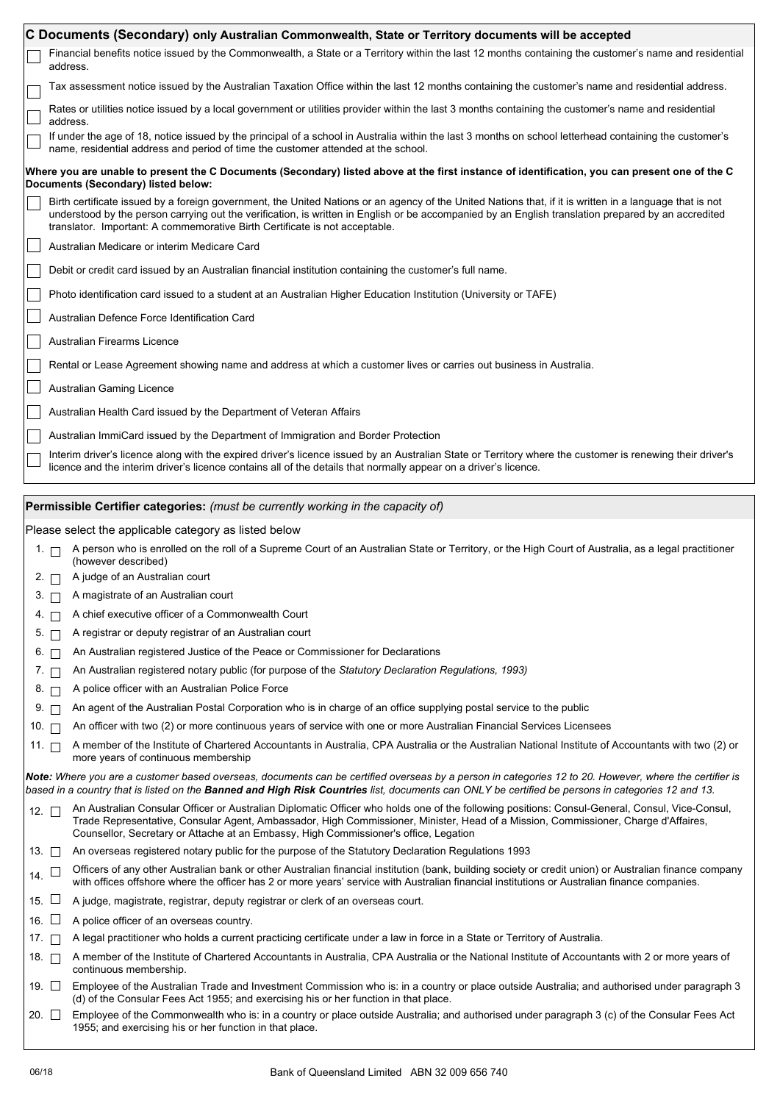|                                                                                                                                                                                       |                                                                                                                                                                                                                                                                                                                                                                                                | C Documents (Secondary) only Australian Commonwealth, State or Territory documents will be accepted                                                                                                                                                                                                                                                                          |  |  |  |  |  |  |
|---------------------------------------------------------------------------------------------------------------------------------------------------------------------------------------|------------------------------------------------------------------------------------------------------------------------------------------------------------------------------------------------------------------------------------------------------------------------------------------------------------------------------------------------------------------------------------------------|------------------------------------------------------------------------------------------------------------------------------------------------------------------------------------------------------------------------------------------------------------------------------------------------------------------------------------------------------------------------------|--|--|--|--|--|--|
|                                                                                                                                                                                       |                                                                                                                                                                                                                                                                                                                                                                                                | Financial benefits notice issued by the Commonwealth, a State or a Territory within the last 12 months containing the customer's name and residential<br>address.                                                                                                                                                                                                            |  |  |  |  |  |  |
|                                                                                                                                                                                       |                                                                                                                                                                                                                                                                                                                                                                                                | Tax assessment notice issued by the Australian Taxation Office within the last 12 months containing the customer's name and residential address.                                                                                                                                                                                                                             |  |  |  |  |  |  |
|                                                                                                                                                                                       |                                                                                                                                                                                                                                                                                                                                                                                                | Rates or utilities notice issued by a local government or utilities provider within the last 3 months containing the customer's name and residential<br>address.                                                                                                                                                                                                             |  |  |  |  |  |  |
|                                                                                                                                                                                       | If under the age of 18, notice issued by the principal of a school in Australia within the last 3 months on school letterhead containing the customer's<br>name, residential address and period of time the customer attended at the school.                                                                                                                                                   |                                                                                                                                                                                                                                                                                                                                                                              |  |  |  |  |  |  |
| Where you are unable to present the C Documents (Secondary) listed above at the first instance of identification, you can present one of the C<br>Documents (Secondary) listed below: |                                                                                                                                                                                                                                                                                                                                                                                                |                                                                                                                                                                                                                                                                                                                                                                              |  |  |  |  |  |  |
|                                                                                                                                                                                       | Birth certificate issued by a foreign government, the United Nations or an agency of the United Nations that, if it is written in a language that is not<br>understood by the person carrying out the verification, is written in English or be accompanied by an English translation prepared by an accredited<br>translator. Important: A commemorative Birth Certificate is not acceptable. |                                                                                                                                                                                                                                                                                                                                                                              |  |  |  |  |  |  |
|                                                                                                                                                                                       |                                                                                                                                                                                                                                                                                                                                                                                                | Australian Medicare or interim Medicare Card                                                                                                                                                                                                                                                                                                                                 |  |  |  |  |  |  |
|                                                                                                                                                                                       | Debit or credit card issued by an Australian financial institution containing the customer's full name.                                                                                                                                                                                                                                                                                        |                                                                                                                                                                                                                                                                                                                                                                              |  |  |  |  |  |  |
|                                                                                                                                                                                       |                                                                                                                                                                                                                                                                                                                                                                                                | Photo identification card issued to a student at an Australian Higher Education Institution (University or TAFE)                                                                                                                                                                                                                                                             |  |  |  |  |  |  |
|                                                                                                                                                                                       | Australian Defence Force Identification Card                                                                                                                                                                                                                                                                                                                                                   |                                                                                                                                                                                                                                                                                                                                                                              |  |  |  |  |  |  |
|                                                                                                                                                                                       | Australian Firearms Licence                                                                                                                                                                                                                                                                                                                                                                    |                                                                                                                                                                                                                                                                                                                                                                              |  |  |  |  |  |  |
|                                                                                                                                                                                       |                                                                                                                                                                                                                                                                                                                                                                                                | Rental or Lease Agreement showing name and address at which a customer lives or carries out business in Australia.                                                                                                                                                                                                                                                           |  |  |  |  |  |  |
|                                                                                                                                                                                       |                                                                                                                                                                                                                                                                                                                                                                                                | Australian Gaming Licence                                                                                                                                                                                                                                                                                                                                                    |  |  |  |  |  |  |
|                                                                                                                                                                                       |                                                                                                                                                                                                                                                                                                                                                                                                | Australian Health Card issued by the Department of Veteran Affairs                                                                                                                                                                                                                                                                                                           |  |  |  |  |  |  |
|                                                                                                                                                                                       |                                                                                                                                                                                                                                                                                                                                                                                                |                                                                                                                                                                                                                                                                                                                                                                              |  |  |  |  |  |  |
|                                                                                                                                                                                       |                                                                                                                                                                                                                                                                                                                                                                                                | Australian ImmiCard issued by the Department of Immigration and Border Protection                                                                                                                                                                                                                                                                                            |  |  |  |  |  |  |
|                                                                                                                                                                                       |                                                                                                                                                                                                                                                                                                                                                                                                | Interim driver's licence along with the expired driver's licence issued by an Australian State or Territory where the customer is renewing their driver's<br>licence and the interim driver's licence contains all of the details that normally appear on a driver's licence.                                                                                                |  |  |  |  |  |  |
|                                                                                                                                                                                       |                                                                                                                                                                                                                                                                                                                                                                                                | Permissible Certifier categories: (must be currently working in the capacity of)                                                                                                                                                                                                                                                                                             |  |  |  |  |  |  |
|                                                                                                                                                                                       |                                                                                                                                                                                                                                                                                                                                                                                                |                                                                                                                                                                                                                                                                                                                                                                              |  |  |  |  |  |  |
|                                                                                                                                                                                       |                                                                                                                                                                                                                                                                                                                                                                                                |                                                                                                                                                                                                                                                                                                                                                                              |  |  |  |  |  |  |
|                                                                                                                                                                                       | 1. $\Box$                                                                                                                                                                                                                                                                                                                                                                                      | Please select the applicable category as listed below<br>A person who is enrolled on the roll of a Supreme Court of an Australian State or Territory, or the High Court of Australia, as a legal practitioner                                                                                                                                                                |  |  |  |  |  |  |
|                                                                                                                                                                                       | $2. \square$                                                                                                                                                                                                                                                                                                                                                                                   | (however described)<br>A judge of an Australian court                                                                                                                                                                                                                                                                                                                        |  |  |  |  |  |  |
|                                                                                                                                                                                       | $3. \Box$                                                                                                                                                                                                                                                                                                                                                                                      | A magistrate of an Australian court                                                                                                                                                                                                                                                                                                                                          |  |  |  |  |  |  |
|                                                                                                                                                                                       |                                                                                                                                                                                                                                                                                                                                                                                                |                                                                                                                                                                                                                                                                                                                                                                              |  |  |  |  |  |  |
|                                                                                                                                                                                       | 5. $\Box$                                                                                                                                                                                                                                                                                                                                                                                      | 4. A chief executive officer of a Commonwealth Court<br>A registrar or deputy registrar of an Australian court                                                                                                                                                                                                                                                               |  |  |  |  |  |  |
|                                                                                                                                                                                       | 6. $\Box$                                                                                                                                                                                                                                                                                                                                                                                      | An Australian registered Justice of the Peace or Commissioner for Declarations                                                                                                                                                                                                                                                                                               |  |  |  |  |  |  |
|                                                                                                                                                                                       | $7. \square$                                                                                                                                                                                                                                                                                                                                                                                   | An Australian registered notary public (for purpose of the <i>Statutory Declaration Regulations, 1993</i> )                                                                                                                                                                                                                                                                  |  |  |  |  |  |  |
|                                                                                                                                                                                       | $8. \Box$                                                                                                                                                                                                                                                                                                                                                                                      | A police officer with an Australian Police Force                                                                                                                                                                                                                                                                                                                             |  |  |  |  |  |  |
|                                                                                                                                                                                       | $9.$ $\Box$                                                                                                                                                                                                                                                                                                                                                                                    | An agent of the Australian Postal Corporation who is in charge of an office supplying postal service to the public                                                                                                                                                                                                                                                           |  |  |  |  |  |  |
|                                                                                                                                                                                       | 10. $\Box$                                                                                                                                                                                                                                                                                                                                                                                     | An officer with two (2) or more continuous years of service with one or more Australian Financial Services Licensees                                                                                                                                                                                                                                                         |  |  |  |  |  |  |
|                                                                                                                                                                                       | 11. $\Box$                                                                                                                                                                                                                                                                                                                                                                                     | A member of the Institute of Chartered Accountants in Australia, CPA Australia or the Australian National Institute of Accountants with two (2) or<br>more years of continuous membership                                                                                                                                                                                    |  |  |  |  |  |  |
|                                                                                                                                                                                       |                                                                                                                                                                                                                                                                                                                                                                                                | Note: Where you are a customer based overseas, documents can be certified overseas by a person in categories 12 to 20. However, where the certifier is<br>based in a country that is listed on the <b>Banned and High Risk Countries</b> list, documents can ONLY be certified be persons in categories 12 and 13.                                                           |  |  |  |  |  |  |
|                                                                                                                                                                                       | 12. $\Box$                                                                                                                                                                                                                                                                                                                                                                                     | An Australian Consular Officer or Australian Diplomatic Officer who holds one of the following positions: Consul-General, Consul, Vice-Consul,<br>Trade Representative, Consular Agent, Ambassador, High Commissioner, Minister, Head of a Mission, Commissioner, Charge d'Affaires,<br>Counsellor, Secretary or Attache at an Embassy, High Commissioner's office, Legation |  |  |  |  |  |  |
|                                                                                                                                                                                       | 13. ∏                                                                                                                                                                                                                                                                                                                                                                                          | An overseas registered notary public for the purpose of the Statutory Declaration Regulations 1993                                                                                                                                                                                                                                                                           |  |  |  |  |  |  |
| 14.                                                                                                                                                                                   | ப                                                                                                                                                                                                                                                                                                                                                                                              | Officers of any other Australian bank or other Australian financial institution (bank, building society or credit union) or Australian finance company<br>with offices offshore where the officer has 2 or more years' service with Australian financial institutions or Australian finance companies.                                                                       |  |  |  |  |  |  |
| 15.                                                                                                                                                                                   | ப                                                                                                                                                                                                                                                                                                                                                                                              | A judge, magistrate, registrar, deputy registrar or clerk of an overseas court.                                                                                                                                                                                                                                                                                              |  |  |  |  |  |  |
| 16.                                                                                                                                                                                   | ⊔                                                                                                                                                                                                                                                                                                                                                                                              | A police officer of an overseas country.                                                                                                                                                                                                                                                                                                                                     |  |  |  |  |  |  |
| 17.                                                                                                                                                                                   | $\mathbf{1}$                                                                                                                                                                                                                                                                                                                                                                                   | A legal practitioner who holds a current practicing certificate under a law in force in a State or Territory of Australia.                                                                                                                                                                                                                                                   |  |  |  |  |  |  |
|                                                                                                                                                                                       | 18. ⊓                                                                                                                                                                                                                                                                                                                                                                                          | A member of the Institute of Chartered Accountants in Australia, CPA Australia or the National Institute of Accountants with 2 or more years of<br>continuous membership.                                                                                                                                                                                                    |  |  |  |  |  |  |
|                                                                                                                                                                                       | 19. ∐                                                                                                                                                                                                                                                                                                                                                                                          | Employee of the Australian Trade and Investment Commission who is: in a country or place outside Australia; and authorised under paragraph 3<br>(d) of the Consular Fees Act 1955; and exercising his or her function in that place.                                                                                                                                         |  |  |  |  |  |  |